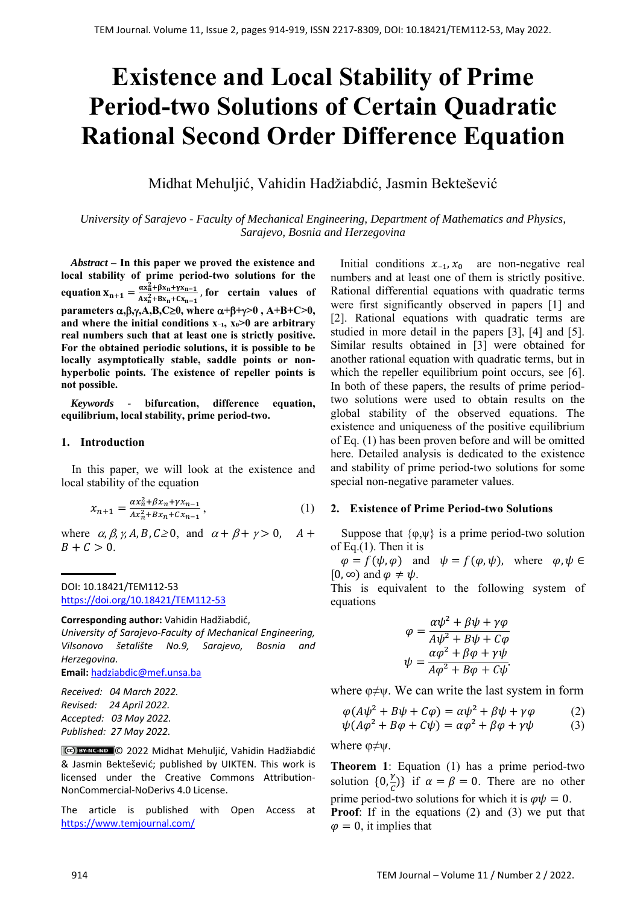# **Existence and Local Stability of Prime Period-two Solutions of Certain Quadratic Rational Second Order Difference Equation**

Midhat Mehuljić, Vahidin Hadžiabdić, Jasmin Bektešević

*University of Sarajevo - Faculty of Mechanical Engineering, Department of Mathematics and Physics, Sarajevo, Bosnia and Herzegovina* 

*Abstract –* **In this paper we proved the existence and local stability of prime period-two solutions for the**  equation  $X_{n+1} = \frac{\alpha X_n^2 + \beta X_n + \gamma X_{n-1}}{\alpha X_n^2 + \beta X_{n-1} + \gamma X_{n-1}}$  $\frac{ax_n+px_n+px_{n-1}}{Ax_n^2+Bx_n+Cx_{n-1}}$ , for certain values of **parameters**  $\alpha, \beta, \gamma, A, B, C \ge 0$ **, where**  $\alpha + \beta + \gamma > 0$ **,**  $A + B + C > 0$ **,** and where the initial conditions x-1, x<sup>o</sup>>0 are arbitrary **real numbers such that at least one is strictly positive. For the obtained periodic solutions, it is possible to be locally asymptotically stable, saddle points or nonhyperbolic points. The existence of repeller points is not possible.** 

*Keywords -* **bifurcation, difference equation, equilibrium, local stability, prime period-two.** 

#### **1. Introduction**

In this paper, we will look at the existence and local stability of the equation

$$
x_{n+1} = \frac{\alpha x_n^2 + \beta x_n + \gamma x_{n-1}}{Ax_n^2 + Bx_n + Cx_{n-1}},
$$
\n(1)

where  $\alpha$ ,  $\beta$ ,  $\gamma$ ,  $A$ ,  $B$ ,  $C \ge 0$ , and  $\alpha + \beta + \gamma > 0$ ,  $A +$  $B + C > 0$ .

DOI: 10.18421/TEM112-53 [https://doi.org/10.18421/TEM112](https://doi.org/10.18421/TEM112-53)-53

**Corresponding author:** Vahidin Hadžiabdić,

*University of Sarajevo‐Faculty of Mechanical Engineering, Vilsonovo šetalište No.9, Sarajevo, Bosnia and Herzegovina.* 

**Email:** hadziabdic@mef.unsa.ba

*Received: 04 March 2022. Revised: 24 April 2022. Accepted: 03 May 2022. Published: 27 May 2022.* 

© 2022 Midhat Mehuljić, Vahidin Hadžiabdić & Jasmin Bektešević; published by UIKTEN. This work is licensed under the Creative Commons Attribution‐ NonCommercial‐NoDerivs 4.0 License.

The article is published with Open Access at https://www.temjournal.com/

Initial conditions  $x_{-1}$ ,  $x_0$  are non-negative real numbers and at least one of them is strictly positive. Rational differential equations with quadratic terms were first significantly observed in papers [1] and [2]. Rational equations with quadratic terms are studied in more detail in the papers [3], [4] and [5]. Similar results obtained in [3] were obtained for another rational equation with quadratic terms, but in which the repeller equilibrium point occurs, see [6]. In both of these papers, the results of prime periodtwo solutions were used to obtain results on the global stability of the observed equations. The existence and uniqueness of the positive equilibrium of Eq. (1) has been proven before and will be omitted here. Detailed analysis is dedicated to the existence and stability of prime period-two solutions for some special non-negative parameter values.

### **2. Existence of Prime Period-two Solutions**

Suppose that  $\{\varphi,\psi\}$  is a prime period-two solution of Eq.(1). Then it is

 $\varphi = f(\psi, \varphi)$  and  $\psi = f(\varphi, \psi)$ , where  $\varphi, \psi \in$  $[0, \infty)$  and  $\varphi \neq \psi$ .

This is equivalent to the following system of equations

$$
\varphi = \frac{\alpha \psi^2 + \beta \psi + \gamma \varphi}{A \psi^2 + B \psi + C \varphi}
$$

$$
\psi = \frac{\alpha \varphi^2 + \beta \varphi + \gamma \psi}{A \varphi^2 + B \varphi + C \psi}.
$$

where  $\varphi \neq v$ . We can write the last system in form

$$
\varphi(A\psi^2 + B\psi + C\varphi) = \alpha\psi^2 + \beta\psi + \gamma\varphi \tag{2}
$$

$$
\psi(A\varphi^2 + B\varphi + C\psi) = \alpha\varphi^2 + \beta\varphi + \gamma\psi \tag{3}
$$

where  $\varphi \neq \psi$ .

**Theorem 1**: Equation (1) has a prime period-two solution  $\{0, \frac{\gamma}{c}\}\$  if  $\alpha = \beta = 0$ . There are no other prime period-two solutions for which it is  $\varphi \psi = 0$ . **Proof**: If in the equations (2) and (3) we put that  $\varphi = 0$ , it implies that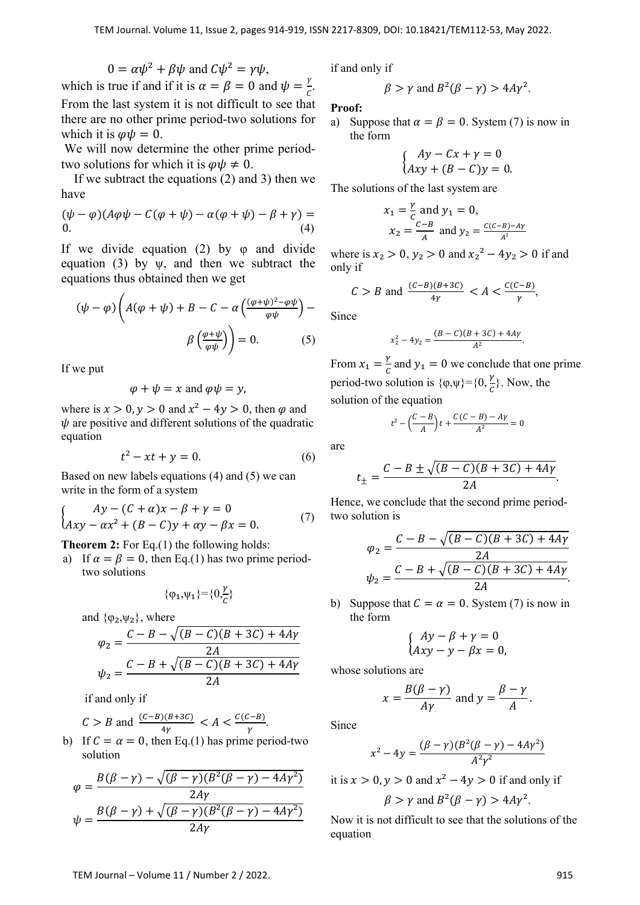$$
0 = \alpha \psi^2 + \beta \psi \text{ and } C\psi^2 = \gamma \psi,
$$

which is true if and if it is  $\alpha = \beta = 0$  and  $\psi = \frac{\gamma}{c}$ . From the last system it is not difficult to see that there are no other prime period-two solutions for which it is  $\varphi \psi = 0$ .

 We will now determine the other prime periodtwo solutions for which it is  $\varphi \psi \neq 0$ .

 If we subtract the equations (2) and 3) then we have

$$
(\psi - \varphi)(A\varphi\psi - C(\varphi + \psi) - \alpha(\varphi + \psi) - \beta + \gamma) =
$$
  
0. (4)

If we divide equation (2) by  $\varphi$  and divide equation (3) by  $\psi$ , and then we subtract the equations thus obtained then we get

$$
(\psi - \varphi) \left( A(\varphi + \psi) + B - C - \alpha \left( \frac{(\varphi + \psi)^2 - \varphi \psi}{\varphi \psi} \right) - \beta \left( \frac{\varphi + \psi}{\varphi \psi} \right) \right) = 0. \tag{5}
$$

If we put

$$
\varphi + \psi = x
$$
 and  $\varphi \psi = y$ ,

where is  $x > 0$ ,  $y > 0$  and  $x^2 - 4y > 0$ , then  $\varphi$  and  $\psi$  are positive and different solutions of the quadratic equation

$$
t^2 - xt + y = 0.\t\t(6)
$$

Based on new labels equations (4) and (5) we can write in the form of a system

$$
\begin{cases}\nAy - (C + \alpha)x - \beta + \gamma = 0 \\
Axy - \alpha x^2 + (B - C)y + \alpha y - \beta x = 0.\n\end{cases}
$$
\n(7)

**Theorem 2:** For Eq.(1) the following holds:

a) If  $\alpha = \beta = 0$ , then Eq.(1) has two prime periodtwo solutions

$$
\{\phi_1,\!\psi_1\}\!\!=\!\!\{0,\!\!\frac{\gamma}{c}\}
$$

and  $\{\varphi_2,\psi_2\}$ , where

$$
\varphi_2 = \frac{C - B - \sqrt{(B - C)(B + 3C) + 4Ay}}{2A}
$$

$$
\psi_2 = \frac{C - B + \sqrt{(B - C)(B + 3C) + 4Ay}}{2A}
$$

if and only if

$$
C > B \text{ and } \frac{(C-B)(B+3C)}{4\gamma} < A < \frac{C(C-B)}{\gamma}.
$$

b) If  $C = \alpha = 0$ , then Eq.(1) has prime period-two solution

$$
\varphi = \frac{B(\beta - \gamma) - \sqrt{(\beta - \gamma)(B^2(\beta - \gamma) - 4A\gamma^2)}}{2A\gamma}
$$

$$
\psi = \frac{B(\beta - \gamma) + \sqrt{(\beta - \gamma)(B^2(\beta - \gamma) - 4A\gamma^2)}}{2A\gamma}
$$

if and only if

$$
\beta > \gamma
$$
 and  $B^2(\beta - \gamma) > 4A\gamma^2$ .

**Proof:** 

a) Suppose that  $\alpha = \beta = 0$ . System (7) is now in the form

$$
\begin{cases}\nAy - Cx + y = 0 \\
Axy + (B - C)y = 0.\n\end{cases}
$$

The solutions of the last system are

$$
x_1 = \frac{y}{c}
$$
 and  $y_1 = 0$ ,  
 $x_2 = \frac{c - B}{A}$  and  $y_2 = \frac{c(c - B) - Ay}{A^2}$ 

where is  $x_2 > 0$ ,  $y_2 > 0$  and  $x_2^2 - 4y_2 > 0$  if and only if

$$
C > B \text{ and } \frac{(C-B)(B+3C)}{4\gamma} < A < \frac{C(C-B)}{\gamma},
$$

Since

$$
x_2^2 - 4y_2 = \frac{(B-C)(B+3C) + 4A\gamma}{A^2}.
$$

From  $x_1 = \frac{y}{c}$  and  $y_1 = 0$  we conclude that one prime period-two solution is  $\{\varphi, \psi\} = \{0, \frac{\gamma}{c}\}\)$ . Now, the solution of the equation

$$
t^2-\left(\frac{C-B}{A}\right)t+\frac{C(C-B)-Ay}{A^2}=0
$$

are

$$
t_{\pm} = \frac{C - B \pm \sqrt{(B - C)(B + 3C) + 4Ay}}{2A}.
$$

Hence, we conclude that the second prime periodtwo solution is

$$
\varphi_2 = \frac{C - B - \sqrt{(B - C)(B + 3C) + 4Ay}}{2A}
$$

$$
\psi_2 = \frac{C - B + \sqrt{(B - C)(B + 3C) + 4Ay}}{2A}.
$$

b) Suppose that  $C = \alpha = 0$ . System (7) is now in the form

$$
\begin{cases}\nAy - \beta + \gamma = 0 \\
Axy - y - \beta x = 0,\n\end{cases}
$$

whose solutions are

$$
x = \frac{B(\beta - \gamma)}{A\gamma} \text{ and } y = \frac{\beta - \gamma}{A}.
$$

Since

$$
x^{2}-4y = \frac{(\beta - \gamma)(B^{2}(\beta - \gamma) - 4Ay^{2})}{A^{2}\gamma^{2}}
$$

it is  $x > 0$ ,  $y > 0$  and  $x^2 - 4y > 0$  if and only if

$$
\beta > \gamma
$$
 and  $B^2(\beta - \gamma) > 4A\gamma^2$ .

Now it is not difficult to see that the solutions of the equation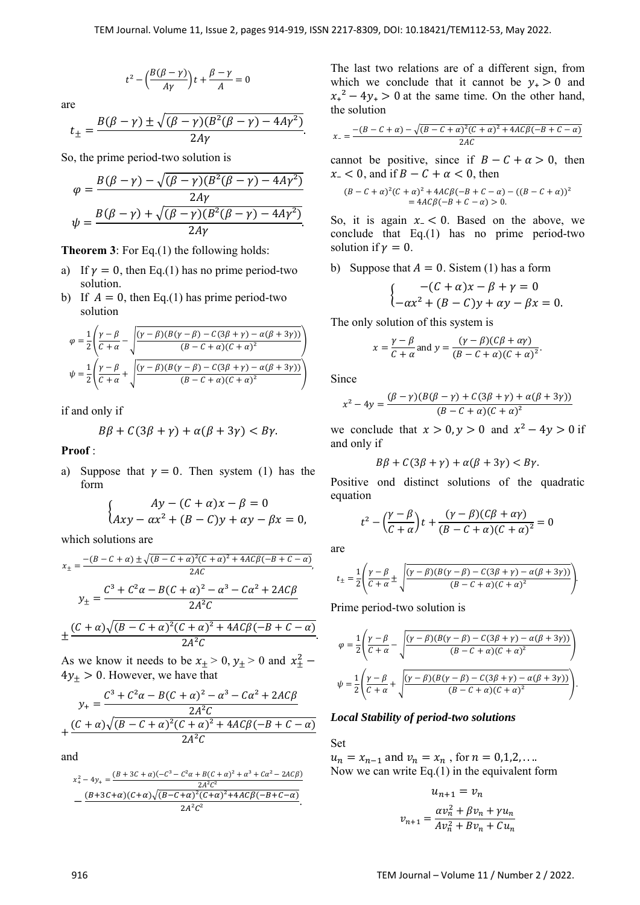$$
t^2 - \left(\frac{B(\beta - \gamma)}{A\gamma}\right)t + \frac{\beta - \gamma}{A} = 0
$$

are

$$
t_{\pm} = \frac{B(\beta - \gamma) \pm \sqrt{(\beta - \gamma)(B^2(\beta - \gamma) - 4A\gamma^2)}}{2A\gamma}.
$$

So, the prime period-two solution is

$$
\varphi = \frac{B(\beta - \gamma) - \sqrt{(\beta - \gamma)(B^2(\beta - \gamma) - 4A\gamma^2)}}{2A\gamma}
$$

$$
\psi = \frac{B(\beta - \gamma) + \sqrt{(\beta - \gamma)(B^2(\beta - \gamma) - 4A\gamma^2)}}{2A\gamma}.
$$

**Theorem 3**: For Eq.(1) the following holds:

- a) If  $\gamma = 0$ , then Eq.(1) has no prime period-two solution.
- b) If  $A = 0$ , then Eq.(1) has prime period-two solution

$$
\varphi = \frac{1}{2} \left( \frac{\gamma - \beta}{C + \alpha} - \sqrt{\frac{(\gamma - \beta)(B(\gamma - \beta) - C(3\beta + \gamma) - \alpha(\beta + 3\gamma))}{(B - C + \alpha)(C + \alpha)^2}} \right)
$$

$$
\psi = \frac{1}{2} \left( \frac{\gamma - \beta}{C + \alpha} + \sqrt{\frac{(\gamma - \beta)(B(\gamma - \beta) - C(3\beta + \gamma) - \alpha(\beta + 3\gamma))}{(B - C + \alpha)(C + \alpha)^2}} \right)
$$

if and only if

$$
B\beta + C(3\beta + \gamma) + \alpha(\beta + 3\gamma) < B\gamma.
$$

**Proof** :

a) Suppose that  $\gamma = 0$ . Then system (1) has the form

$$
\begin{cases}\nAy - (C + \alpha)x - \beta = 0 \\
Axy - \alpha x^2 + (B - C)y + \alpha y - \beta x = 0,\n\end{cases}
$$

which solutions are

$$
x_{\pm} = \frac{-(B - C + \alpha) \pm \sqrt{(B - C + \alpha)^2 (C + \alpha)^2 + 4AC\beta(-B + C - \alpha)}}{2AC},
$$
  

$$
y_{\pm} = \frac{C^3 + C^2 \alpha - B(C + \alpha)^2 - \alpha^3 - C\alpha^2 + 2AC\beta}{2A^2C}
$$
  

$$
\pm \frac{(C + \alpha)\sqrt{(B - C + \alpha)^2(C + \alpha)^2 + 4AC\beta(-B + C - \alpha)}}{2A^2C}.
$$

As we know it needs to be  $x_{\pm} > 0$ ,  $y_{\pm} > 0$  and  $x_{\pm}^2$  –  $4y_+ > 0$ . However, we have that

$$
y_{+} = \frac{C^{3} + C^{2} \alpha - B(C + \alpha)^{2} - \alpha^{3} - C\alpha^{2} + 2AC\beta}{2A^{2}C}
$$

$$
+ \frac{(C + \alpha)\sqrt{(B - C + \alpha)^{2}(C + \alpha)^{2} + 4AC\beta(-B + C - \alpha)}}{2A^{2}C}
$$

and

$$
x_{+}^{2} - 4y_{+} = \frac{(B + 3C + \alpha)(-C^{3} - C^{2}\alpha + B(C + \alpha)^{2} + \alpha^{3} + C\alpha^{2} - 2AC\beta)}{2A^{2}C^{2}}
$$

$$
-\frac{(B + 3C + \alpha)(C + \alpha)\sqrt{(B - C + \alpha)^{2}(C + \alpha)^{2} + 4AC\beta(-B + C - \alpha)}}{2A^{2}C^{2}}.
$$

The last two relations are of a different sign, from which we conclude that it cannot be  $y_+ > 0$  and  $x_+^2 - 4y_+ > 0$  at the same time. On the other hand, the solution

$$
x_{-} = \frac{-(B - C + \alpha) - \sqrt{(B - C + \alpha)^{2}(C + \alpha)^{2} + 4AC\beta(-B + C - \alpha)}}{2AC}
$$

cannot be positive, since if  $B - C + \alpha > 0$ , then  $x_{-}$  < 0, and if  $B - C + \alpha < 0$ , then

$$
(B - C + \alpha)^{2}(C + \alpha)^{2} + 4AC\beta(-B + C - \alpha) - ((B - C + \alpha))^{2}
$$
  
= 4AC\beta(-B + C - \alpha) > 0.

So, it is again  $x - < 0$ . Based on the above, we conclude that Eq.(1) has no prime period-two solution if  $\gamma = 0$ .

b) Suppose that  $A = 0$ . Sistem (1) has a form

$$
\begin{cases}\n-(C + \alpha)x - \beta + \gamma = 0 \\
-\alpha x^2 + (B - C)y + \alpha y - \beta x = 0.\n\end{cases}
$$

The only solution of this system is

$$
x = \frac{\gamma - \beta}{C + \alpha} \text{ and } y = \frac{(\gamma - \beta)(C\beta + \alpha\gamma)}{(B - C + \alpha)(C + \alpha)^2}.
$$

Since

$$
x^{2}-4y = \frac{(\beta-\gamma)(B(\beta-\gamma)+C(3\beta+\gamma)+\alpha(\beta+3\gamma))}{(B-C+\alpha)(C+\alpha)^{2}}
$$

we conclude that  $x > 0$ ,  $y > 0$  and  $x^2 - 4y > 0$  if and only if

$$
B\beta + C(3\beta + \gamma) + \alpha(\beta + 3\gamma) < B\gamma.
$$

Positive ond distinct solutions of the quadratic equation

$$
t^2 - \left(\frac{\gamma - \beta}{C + \alpha}\right)t + \frac{(\gamma - \beta)(C\beta + \alpha\gamma)}{(B - C + \alpha)(C + \alpha)^2} = 0
$$

are

$$
t_{\pm} = \frac{1}{2} \left( \frac{\gamma - \beta}{C + \alpha} \pm \sqrt{\frac{(\gamma - \beta)(B(\gamma - \beta) - C(3\beta + \gamma) - \alpha(\beta + 3\gamma))}{(B - C + \alpha)(C + \alpha)^2}} \right)
$$

Prime period-two solution is

$$
\varphi = \frac{1}{2} \left( \frac{\gamma - \beta}{C + \alpha} - \sqrt{\frac{(\gamma - \beta)(B(\gamma - \beta) - C(3\beta + \gamma) - \alpha(\beta + 3\gamma))}{(B - C + \alpha)(C + \alpha)^2}} \right)
$$

$$
\psi = \frac{1}{2} \left( \frac{\gamma - \beta}{C + \alpha} + \sqrt{\frac{(\gamma - \beta)(B(\gamma - \beta) - C(3\beta + \gamma) - \alpha(\beta + 3\gamma))}{(B - C + \alpha)(C + \alpha)^2}} \right).
$$

# *Local Stability of period-two solutions*

Set

 $u_n = x_{n-1}$  and  $v_n = x_n$ , for  $n = 0,1,2,...$ Now we can write  $Eq.(1)$  in the equivalent form

$$
u_{n+1} = v_n
$$
  

$$
v_{n+1} = \frac{\alpha v_n^2 + \beta v_n + \gamma u_n}{A v_n^2 + B v_n + C u_n}
$$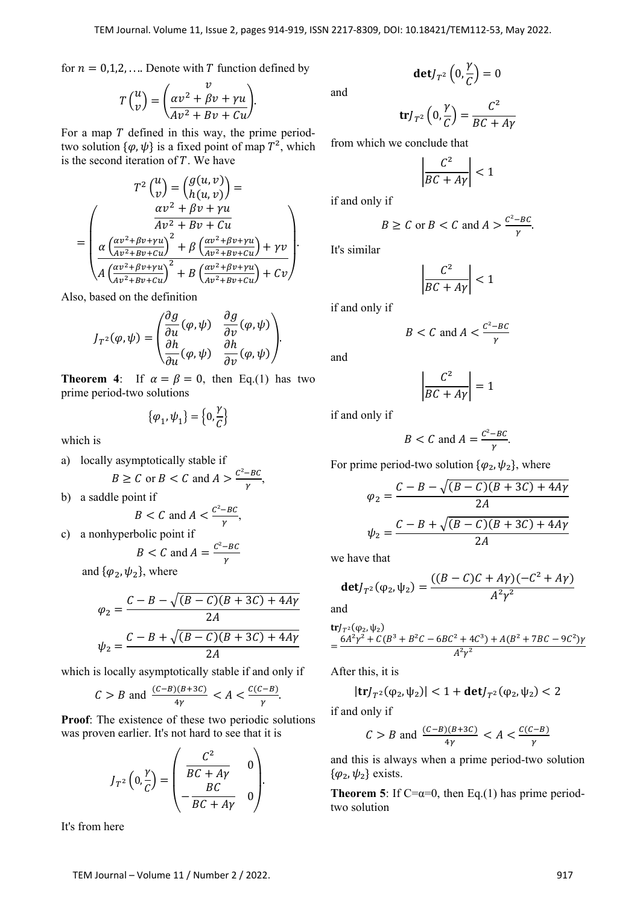for  $n = 0,1,2,...$  Denote with T function defined by

$$
T\begin{pmatrix}u\\v\end{pmatrix} = \begin{pmatrix}v\\ \frac{\alpha v^2 + \beta v + \gamma u}{A v^2 + B v + C u}\end{pmatrix}.
$$

For a map  $T$  defined in this way, the prime periodtwo solution  $\{\varphi, \psi\}$  is a fixed point of map  $T^2$ , which is the second iteration of  $T$ . We have

$$
T^{2} {u \choose v} = {g(u, v) \choose h(u, v)} =
$$

$$
= \begin{pmatrix} \frac{\alpha v^{2} + \beta v + \gamma u}{A v^{2} + B v + C u} \\ \frac{\alpha \left(\frac{\alpha v^{2} + \beta v + \gamma u}{A v^{2} + B v + C u}\right)^{2} + \beta \left(\frac{\alpha v^{2} + \beta v + \gamma u}{A v^{2} + B v + C u}\right) + \gamma v}{A \left(\frac{\alpha v^{2} + \beta v + \gamma u}{A v^{2} + B v + C u}\right)^{2} + B \left(\frac{\alpha v^{2} + \beta v + \gamma u}{A v^{2} + B v + C u}\right) + C v} \end{pmatrix}.
$$

Also, based on the definition

$$
J_{T^2}(\varphi,\psi) = \begin{pmatrix} \frac{\partial g}{\partial u}(\varphi,\psi) & \frac{\partial g}{\partial v}(\varphi,\psi) \\ \frac{\partial h}{\partial u}(\varphi,\psi) & \frac{\partial h}{\partial v}(\varphi,\psi) \end{pmatrix}.
$$

**Theorem 4:** If  $\alpha = \beta = 0$ , then Eq.(1) has two prime period-two solutions

$$
\{\varphi_1,\psi_1\} = \left\{0,\frac{\gamma}{C}\right\}
$$

which is

a) locally asymptotically stable if  $B \geq C$  or  $B < C$  and  $A > \frac{C^2 - BC}{\gamma}$ , b) a saddle point if

$$
B < C \text{ and } A < \frac{C^2 - BC}{\gamma},
$$

c) a nonhyperbolic point if

$$
B < C \text{ and } A = \frac{C^2 - BC}{\gamma}
$$

and  $\{\varphi_2, \psi_2\}$ , where

$$
\varphi_2 = \frac{C - B - \sqrt{(B - C)(B + 3C) + 4A\gamma}}{2A}
$$

$$
\psi_2 = \frac{C - B + \sqrt{(B - C)(B + 3C) + 4A\gamma}}{2A}
$$

which is locally asymptotically stable if and only if

$$
C > B \text{ and } \frac{(C-B)(B+3C)}{4\gamma} < A < \frac{C(C-B)}{\gamma}.
$$

**Proof**: The existence of these two periodic solutions was proven earlier. It's not hard to see that it is

$$
J_{T^2}\left(0,\frac{\gamma}{C}\right) = \begin{pmatrix} \frac{C^2}{BC+Ay} & 0\\ -\frac{BC}{BC+Ay} & 0 \end{pmatrix}.
$$

It's from here

and

$$
\mathbf{det} J_{T^2}\left(0,\frac{\gamma}{C}\right)=0
$$

$$
\mathbf{tr} J_{T^2} \left( 0, \frac{\gamma}{C} \right) = \frac{C^2}{BC + A\gamma}
$$

from which we conclude that

$$
\left|\frac{C^2}{BC + A\gamma}\right| < 1
$$

if and only if

$$
B \ge C \text{ or } B < C \text{ and } A > \frac{C^2 - BC}{\gamma}.
$$

It's similar

$$
\left|\frac{C^2}{BC + A\gamma}\right| < 1
$$

if and only if

$$
B < C \text{ and } A < \frac{C^2 - BC}{\gamma}
$$

and

$$
\left|\frac{C^2}{BC + A\gamma}\right| = 1
$$

if and only if

$$
B < C \text{ and } A = \frac{C^2 - BC}{\gamma}.
$$

For prime period-two solution  $\{\varphi_2, \psi_2\}$ , where

$$
\varphi_2 = \frac{C - B - \sqrt{(B - C)(B + 3C) + 4Ay}}{2A}
$$

$$
\psi_2 = \frac{C - B + \sqrt{(B - C)(B + 3C) + 4Ay}}{2A}
$$

we have that

$$
\mathbf{det} J_{T^2}(\varphi_2, \psi_2) = \frac{((B - C)C + A\gamma)(-C^2 + A\gamma)}{A^2 \gamma^2}
$$

and

$$
\begin{aligned} \n\text{tr} J_{T^2}(\varphi_2, \psi_2) \\
&= \frac{6A^2\gamma^2 + C(B^3 + B^2C - 6BC^2 + 4C^3) + A(B^2 + 7BC - 9C^2)\gamma}{A^2\gamma^2} \n\end{aligned}
$$

After this, it is

$$
|\text{tr} J_{T^2}(\phi_2, \psi_2)| < 1 + \text{det} J_{T^2}(\phi_2, \psi_2) < 2
$$

if and only if

$$
C > B
$$
 and  $\frac{(C-B)(B+3C)}{4\gamma} < A < \frac{C(C-B)}{\gamma}$ 

and this is always when a prime period-two solution  $\{\varphi_2, \psi_2\}$  exists.

**Theorem 5**: If  $C = \alpha = 0$ , then Eq.(1) has prime periodtwo solution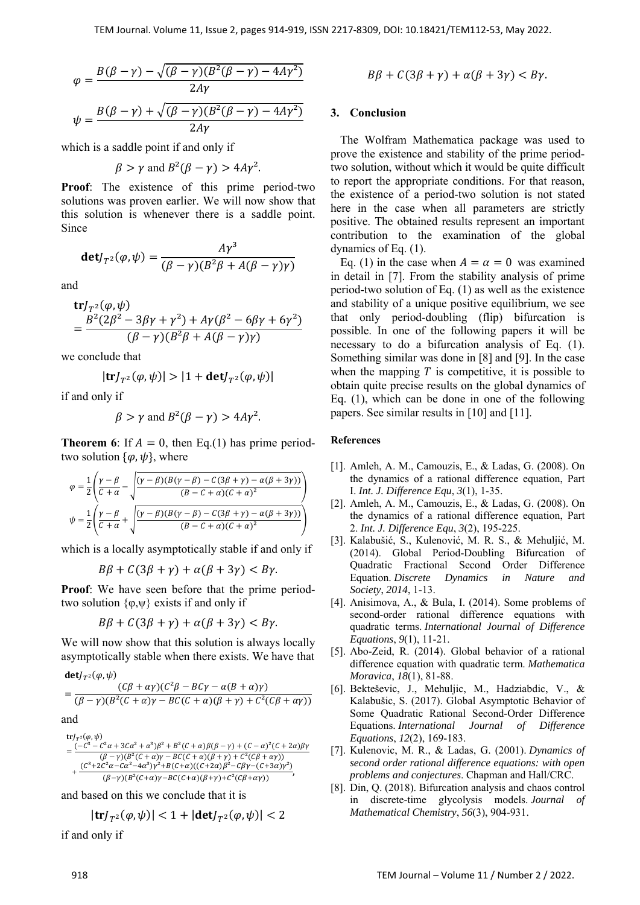$$
\varphi = \frac{B(\beta - \gamma) - \sqrt{(\beta - \gamma)(B^2(\beta - \gamma) - 4A\gamma^2)}}{2A\gamma}
$$

$$
\psi = \frac{B(\beta - \gamma) + \sqrt{(\beta - \gamma)(B^2(\beta - \gamma) - 4A\gamma^2)}}{2A\gamma}
$$

which is a saddle point if and only if

$$
\beta > \gamma
$$
 and  $B^2(\beta - \gamma) > 4A\gamma^2$ .

**Proof**: The existence of this prime period-two solutions was proven earlier. We will now show that this solution is whenever there is a saddle point. Since

$$
\mathbf{det} J_{T^2}(\varphi, \psi) = \frac{A\gamma^3}{(\beta - \gamma)(B^2\beta + A(\beta - \gamma)\gamma)}
$$

and

$$
trJT2(φ, ψ)= 
$$
\frac{B^{2}(2\beta^{2} - 3\beta\gamma + \gamma^{2}) + A\gamma(\beta^{2} - 6\beta\gamma + 6\gamma^{2})}{(β - γ)(B^{2}β + A(β - γ)\gamma)}
$$
$$

we conclude that

$$
|\text{tr}J_{T^2}(\varphi,\psi)| > |1 + \text{det}J_{T^2}(\varphi,\psi)|
$$

if and only if

$$
\beta > \gamma
$$
 and  $B^2(\beta - \gamma) > 4A\gamma^2$ .

**Theorem 6**: If  $A = 0$ , then Eq.(1) has prime periodtwo solution  $\{\varphi, \psi\}$ , where

$$
\varphi = \frac{1}{2} \left( \frac{\gamma - \beta}{C + \alpha} - \sqrt{\frac{(\gamma - \beta)(B(\gamma - \beta) - C(3\beta + \gamma) - \alpha(\beta + 3\gamma))}{(B - C + \alpha)(C + \alpha)^2}} \right)
$$

$$
\psi = \frac{1}{2} \left( \frac{\gamma - \beta}{C + \alpha} + \sqrt{\frac{(\gamma - \beta)(B(\gamma - \beta) - C(3\beta + \gamma) - \alpha(\beta + 3\gamma))}{(B - C + \alpha)(C + \alpha)^2}} \right)
$$

which is a locally asymptotically stable if and only if

$$
B\beta + C(3\beta + \gamma) + \alpha(\beta + 3\gamma) < B\gamma.
$$

**Proof**: We have seen before that the prime periodtwo solution  $\{\varphi, \psi\}$  exists if and only if

$$
B\beta + C(3\beta + \gamma) + \alpha(\beta + 3\gamma) < B\gamma.
$$

We will now show that this solution is always locally asymptotically stable when there exists. We have that

$$
\begin{aligned} \n\text{det} J_{T^2}(\varphi, \psi) & \quad (C\beta + \alpha \gamma)(C^2 \beta - B C \gamma - \alpha (B + \alpha) \gamma) \\ \n&= \frac{(C\beta + \alpha \gamma)(C^2 \beta - B C \gamma - \alpha (B + \alpha) \gamma)}{(B - \gamma)(B^2 (C + \alpha) \gamma - B C (C + \alpha) (\beta + \gamma) + C^2 (C\beta + \alpha \gamma))} \n\end{aligned}
$$

and

$$
\begin{aligned} &\text{tr} J_{T^2}(\varphi,\psi)\\ =&\,\frac{(-C^3-C^2\alpha+3C\alpha^2+\alpha^3)\beta^2+B^2(C+\alpha)\beta(\beta-\gamma)+(C-\alpha)^2(C+2\alpha)\beta\gamma}{(\beta-\gamma)(B^2(C+\alpha)\gamma-BC(C+\alpha)(\beta+\gamma)+C^2(C\beta+\alpha\gamma))}\\ &+\frac{(C^3+2C^2\alpha-C\alpha^2-4\alpha^3)\gamma^2+B(C+\alpha)((C+2\alpha)\beta^2-C\beta\gamma-(C+3\alpha)\gamma^2)}{(\beta-\gamma)(B^2(C+\alpha)\gamma-BC(C+\alpha)(\beta+\gamma)+C^2(C\beta+\alpha\gamma))}, \end{aligned}
$$

and based on this we conclude that it is

$$
|\text{tr} J_{T^2}(\varphi,\psi)| < 1+|\text{det} J_{T^2}(\varphi,\psi)| < 2
$$

if and only if

$$
B\beta + C(3\beta + \gamma) + \alpha(\beta + 3\gamma) < B\gamma.
$$

## **3. Conclusion**

The Wolfram Mathematica package was used to prove the existence and stability of the prime periodtwo solution, without which it would be quite difficult to report the appropriate conditions. For that reason, the existence of a period-two solution is not stated here in the case when all parameters are strictly positive. The obtained results represent an important contribution to the examination of the global dynamics of Eq. (1).

Eq. (1) in the case when  $A = \alpha = 0$  was examined in detail in [7]. From the stability analysis of prime period-two solution of Eq. (1) as well as the existence and stability of a unique positive equilibrium, we see that only period-doubling (flip) bifurcation is possible. In one of the following papers it will be necessary to do a bifurcation analysis of Eq. (1). Something similar was done in [8] and [9]. In the case when the mapping  $T$  is competitive, it is possible to obtain quite precise results on the global dynamics of Eq. (1), which can be done in one of the following papers. See similar results in [10] and [11].

## **References**

- [1]. Amleh, A. M., Camouzis, E., & Ladas, G. (2008). On the dynamics of a rational difference equation, Part I. *Int. J. Difference Equ*, *3*(1), 1-35.
- [2]. Amleh, A. M., Camouzis, E., & Ladas, G. (2008). On the dynamics of a rational difference equation, Part 2. *Int. J. Difference Equ*, *3*(2), 195-225.
- [3]. Kalabušić, S., Kulenović, M. R. S., & Mehuljić, M. (2014). Global Period-Doubling Bifurcation of Quadratic Fractional Second Order Difference Equation. *Discrete Dynamics in Nature and Society*, *2014*, 1-13.
- [4]. Anisimova, A., & Bula, I. (2014). Some problems of second-order rational difference equations with quadratic terms. *International Journal of Difference Equations*, *9*(1), 11-21.
- [5]. Abo-Zeid, R. (2014). Global behavior of a rational difference equation with quadratic term. *Mathematica Moravica*, *18*(1), 81-88.
- [6]. Bekteševic, J., Mehuljic, M., Hadziabdic, V., & Kalabušic, S. (2017). Global Asymptotic Behavior of Some Quadratic Rational Second-Order Difference Equations. *International Journal of Difference Equations*, *12*(2), 169-183.
- [7]. Kulenovic, M. R., & Ladas, G. (2001). *Dynamics of second order rational difference equations: with open problems and conjectures*. Chapman and Hall/CRC.
- [8]. Din, Q. (2018). Bifurcation analysis and chaos control in discrete-time glycolysis models. *Journal of Mathematical Chemistry*, *56*(3), 904-931.